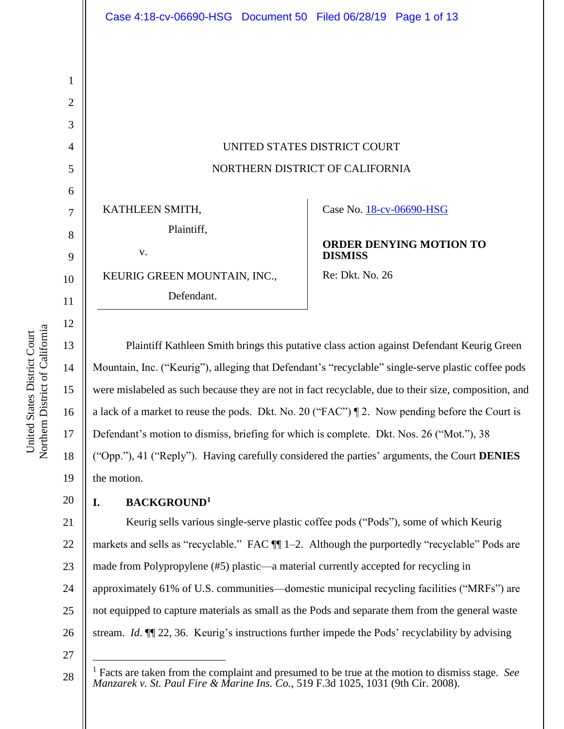UNITED STATES DISTRICT COURT NORTHERN DISTRICT OF CALIFORNIA

KATHLEEN SMITH,

Plaintiff, v.

KEURIG GREEN MOUNTAIN, INC.,

Defendant.

Case No. 18-cv-06690-HSG

**ORDER DENYING MOTION TO DISMISS**

Re: Dkt. No. 26

Plaintiff Kathleen Smith brings this putative class action against Defendant Keurig Green Mountain, Inc. ("Keurig"), alleging that Defendant's "recyclable" single-serve plastic coffee pods were mislabeled as such because they are not in fact recyclable, due to their size, composition, and a lack of a market to reuse the pods. Dkt. No. 20 ("FAC") ¶ 2. Now pending before the Court is Defendant's motion to dismiss, briefing for which is complete. Dkt. Nos. 26 ("Mot."), 38 ("Opp."), 41 ("Reply"). Having carefully considered the parties' arguments, the Court **DENIES** the motion.

# **I. BACKGROUND<sup>1</sup>**

21 22 23 24 25 26 Keurig sells various single-serve plastic coffee pods ("Pods"), some of which Keurig markets and sells as "recyclable." FAC  $\P$  1–2. Although the purportedly "recyclable" Pods are made from Polypropylene (#5) plastic—a material currently accepted for recycling in approximately 61% of U.S. communities—domestic municipal recycling facilities ("MRFs") are not equipped to capture materials as small as the Pods and separate them from the general waste stream. *Id*. ¶¶ 22, 36. Keurig's instructions further impede the Pods' recyclability by advising

27

 $\overline{a}$ 

1

2

3

4

5

6

7

8

9

10

11

12

13

14

15

16

17

18

19

<sup>28</sup> <sup>1</sup> Facts are taken from the complaint and presumed to be true at the motion to dismiss stage. *See Manzarek v. St. Paul Fire & Marine Ins. Co.*, 519 F.3d 1025, 1031 (9th Cir. 2008).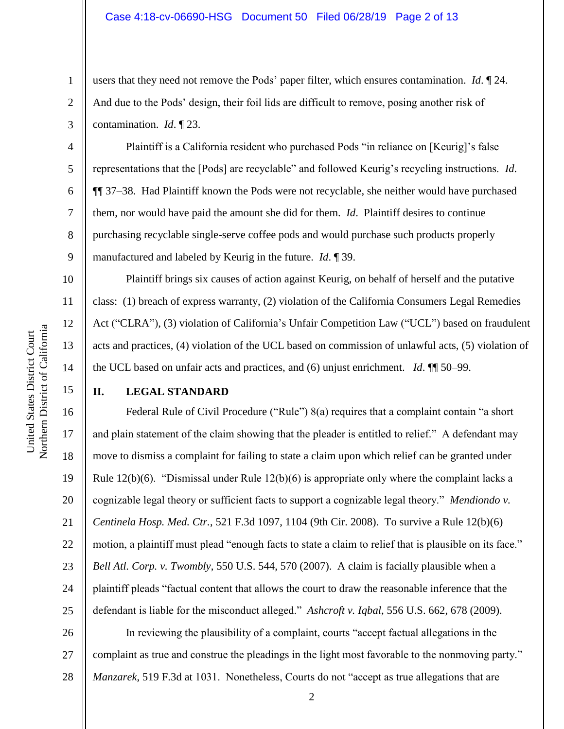users that they need not remove the Pods' paper filter, which ensures contamination. *Id*. ¶ 24. And due to the Pods' design, their foil lids are difficult to remove, posing another risk of contamination. *Id*. ¶ 23.

Plaintiff is a California resident who purchased Pods "in reliance on [Keurig]'s false representations that the [Pods] are recyclable" and followed Keurig's recycling instructions. *Id*. ¶¶ 37–38. Had Plaintiff known the Pods were not recyclable, she neither would have purchased them, nor would have paid the amount she did for them. *Id*. Plaintiff desires to continue purchasing recyclable single-serve coffee pods and would purchase such products properly manufactured and labeled by Keurig in the future. *Id*. ¶ 39.

Plaintiff brings six causes of action against Keurig, on behalf of herself and the putative class: (1) breach of express warranty, (2) violation of the California Consumers Legal Remedies Act ("CLRA"), (3) violation of California's Unfair Competition Law ("UCL") based on fraudulent acts and practices, (4) violation of the UCL based on commission of unlawful acts, (5) violation of the UCL based on unfair acts and practices, and (6) unjust enrichment. *Id*. ¶¶ 50–99.

15

1

2

3

4

5

6

7

8

9

10

11

12

13

14

# **II. LEGAL STANDARD**

16 17 18 19 20 21 22 23 24 25 Federal Rule of Civil Procedure ("Rule") 8(a) requires that a complaint contain "a short and plain statement of the claim showing that the pleader is entitled to relief." A defendant may move to dismiss a complaint for failing to state a claim upon which relief can be granted under Rule  $12(b)(6)$ . "Dismissal under Rule  $12(b)(6)$  is appropriate only where the complaint lacks a cognizable legal theory or sufficient facts to support a cognizable legal theory." *Mendiondo v. Centinela Hosp. Med. Ctr.*, 521 F.3d 1097, 1104 (9th Cir. 2008). To survive a Rule 12(b)(6) motion, a plaintiff must plead "enough facts to state a claim to relief that is plausible on its face." *Bell Atl. Corp. v. Twombly*, 550 U.S. 544, 570 (2007). A claim is facially plausible when a plaintiff pleads "factual content that allows the court to draw the reasonable inference that the defendant is liable for the misconduct alleged." *Ashcroft v. Iqbal*, 556 U.S. 662, 678 (2009).

26 27 28 In reviewing the plausibility of a complaint, courts "accept factual allegations in the complaint as true and construe the pleadings in the light most favorable to the nonmoving party." *Manzarek*, 519 F.3d at 1031. Nonetheless, Courts do not "accept as true allegations that are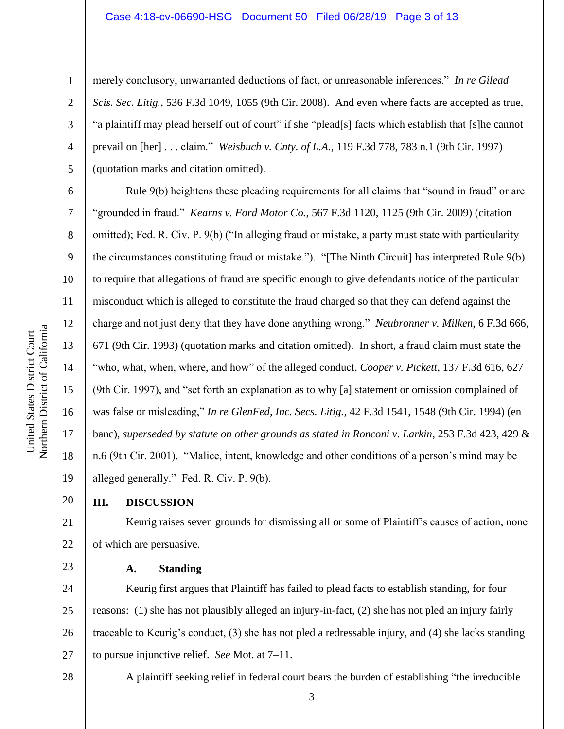merely conclusory, unwarranted deductions of fact, or unreasonable inferences." *In re Gilead Scis. Sec. Litig.*, 536 F.3d 1049, 1055 (9th Cir. 2008). And even where facts are accepted as true, "a plaintiff may plead herself out of court" if she "plead[s] facts which establish that [s]he cannot prevail on [her] . . . claim." *Weisbuch v. Cnty. of L.A.*, 119 F.3d 778, 783 n.1 (9th Cir. 1997) (quotation marks and citation omitted).

Rule 9(b) heightens these pleading requirements for all claims that "sound in fraud" or are "grounded in fraud." *Kearns v. Ford Motor Co.*, 567 F.3d 1120, 1125 (9th Cir. 2009) (citation omitted); Fed. R. Civ. P. 9(b) ("In alleging fraud or mistake, a party must state with particularity the circumstances constituting fraud or mistake."). "[The Ninth Circuit] has interpreted Rule 9(b) to require that allegations of fraud are specific enough to give defendants notice of the particular misconduct which is alleged to constitute the fraud charged so that they can defend against the charge and not just deny that they have done anything wrong." *Neubronner v. Milken*, 6 F.3d 666, 671 (9th Cir. 1993) (quotation marks and citation omitted). In short, a fraud claim must state the "who, what, when, where, and how" of the alleged conduct, *Cooper v. Pickett*, 137 F.3d 616, 627 (9th Cir. 1997), and "set forth an explanation as to why [a] statement or omission complained of was false or misleading," *In re GlenFed, Inc. Secs. Litig.*, 42 F.3d 1541, 1548 (9th Cir. 1994) (en banc), *superseded by statute on other grounds as stated in Ronconi v. Larkin*, 253 F.3d 423, 429 & n.6 (9th Cir. 2001). "Malice, intent, knowledge and other conditions of a person's mind may be alleged generally." Fed. R. Civ. P. 9(b).

# **III. DISCUSSION**

Keurig raises seven grounds for dismissing all or some of Plaintiff's causes of action, none of which are persuasive.

# **A. Standing**

24 25 26 27 Keurig first argues that Plaintiff has failed to plead facts to establish standing, for four reasons: (1) she has not plausibly alleged an injury-in-fact, (2) she has not pled an injury fairly traceable to Keurig's conduct, (3) she has not pled a redressable injury, and (4) she lacks standing to pursue injunctive relief. *See* Mot. at 7–11.

### 28

1

2

3

4

5

6

7

8

9

10

11

12

13

14

15

16

17

18

19

20

21

22

23

3

A plaintiff seeking relief in federal court bears the burden of establishing "the irreducible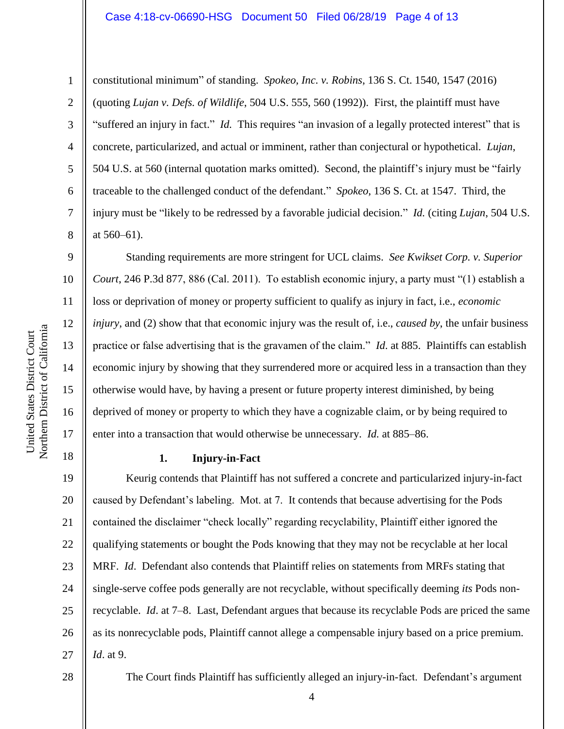#### Case 4:18-cv-06690-HSG Document 50 Filed 06/28/19 Page 4 of 13

1

2

3

4

5

6

7

8

9

12

13

15

17

18

constitutional minimum" of standing. *Spokeo, Inc. v. Robins*, 136 S. Ct. 1540, 1547 (2016) (quoting *Lujan v. Defs. of Wildlife*, 504 U.S. 555, 560 (1992)). First, the plaintiff must have "suffered an injury in fact." *Id.* This requires "an invasion of a legally protected interest" that is concrete, particularized, and actual or imminent, rather than conjectural or hypothetical. *Lujan*, 504 U.S. at 560 (internal quotation marks omitted). Second, the plaintiff's injury must be "fairly traceable to the challenged conduct of the defendant." *Spokeo*, 136 S. Ct. at 1547. Third, the injury must be "likely to be redressed by a favorable judicial decision." *Id.* (citing *Lujan*, 504 U.S. at 560–61).

10 11 14 16 Standing requirements are more stringent for UCL claims. *See Kwikset Corp. v. Superior Court*, 246 P.3d 877, 886 (Cal. 2011). To establish economic injury, a party must "(1) establish a loss or deprivation of money or property sufficient to qualify as injury in fact, i.e., *economic injury*, and (2) show that that economic injury was the result of, i.e., *caused by*, the unfair business practice or false advertising that is the gravamen of the claim." *Id*. at 885. Plaintiffs can establish economic injury by showing that they surrendered more or acquired less in a transaction than they otherwise would have, by having a present or future property interest diminished, by being deprived of money or property to which they have a cognizable claim, or by being required to enter into a transaction that would otherwise be unnecessary. *Id.* at 885–86.

**1. Injury-in-Fact**

19 20 21 22 23 24 25 26 27 Keurig contends that Plaintiff has not suffered a concrete and particularized injury-in-fact caused by Defendant's labeling. Mot. at 7. It contends that because advertising for the Pods contained the disclaimer "check locally" regarding recyclability, Plaintiff either ignored the qualifying statements or bought the Pods knowing that they may not be recyclable at her local MRF. *Id*. Defendant also contends that Plaintiff relies on statements from MRFs stating that single-serve coffee pods generally are not recyclable, without specifically deeming *its* Pods nonrecyclable. *Id*. at 7–8. Last, Defendant argues that because its recyclable Pods are priced the same as its nonrecyclable pods, Plaintiff cannot allege a compensable injury based on a price premium. *Id*. at 9.

#### 28

The Court finds Plaintiff has sufficiently alleged an injury-in-fact. Defendant's argument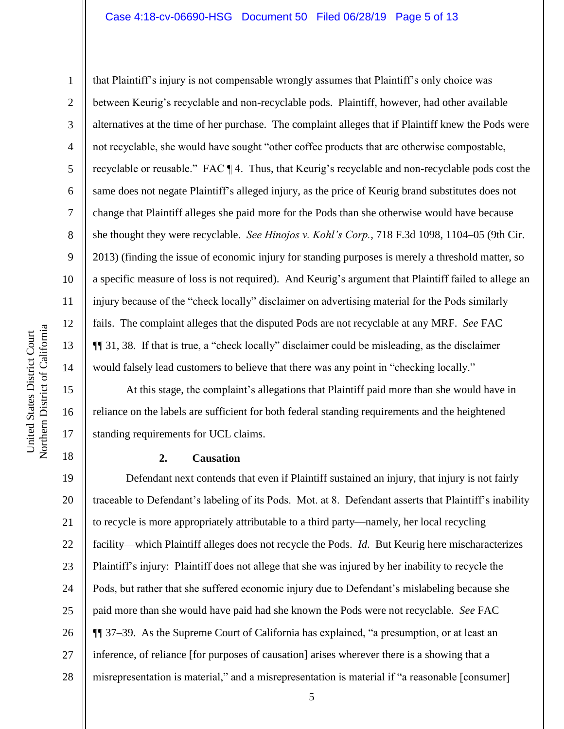#### Case 4:18-cv-06690-HSG Document 50 Filed 06/28/19 Page 5 of 13

that Plaintiff's injury is not compensable wrongly assumes that Plaintiff's only choice was between Keurig's recyclable and non-recyclable pods. Plaintiff, however, had other available alternatives at the time of her purchase. The complaint alleges that if Plaintiff knew the Pods were not recyclable, she would have sought "other coffee products that are otherwise compostable, recyclable or reusable." FAC ¶ 4. Thus, that Keurig's recyclable and non-recyclable pods cost the same does not negate Plaintiff's alleged injury, as the price of Keurig brand substitutes does not change that Plaintiff alleges she paid more for the Pods than she otherwise would have because she thought they were recyclable. *See Hinojos v. Kohl's Corp.*, 718 F.3d 1098, 1104–05 (9th Cir. 2013) (finding the issue of economic injury for standing purposes is merely a threshold matter, so a specific measure of loss is not required). And Keurig's argument that Plaintiff failed to allege an injury because of the "check locally" disclaimer on advertising material for the Pods similarly fails. The complaint alleges that the disputed Pods are not recyclable at any MRF. *See* FAC ¶¶ 31, 38. If that is true, a "check locally" disclaimer could be misleading, as the disclaimer would falsely lead customers to believe that there was any point in "checking locally."

At this stage, the complaint's allegations that Plaintiff paid more than she would have in reliance on the labels are sufficient for both federal standing requirements and the heightened standing requirements for UCL claims.

## **2. Causation**

19 20 21 22 23 24 25 26 27 28 Defendant next contends that even if Plaintiff sustained an injury, that injury is not fairly traceable to Defendant's labeling of its Pods. Mot. at 8. Defendant asserts that Plaintiff's inability to recycle is more appropriately attributable to a third party—namely, her local recycling facility—which Plaintiff alleges does not recycle the Pods. *Id*. But Keurig here mischaracterizes Plaintiff's injury: Plaintiff does not allege that she was injured by her inability to recycle the Pods, but rather that she suffered economic injury due to Defendant's mislabeling because she paid more than she would have paid had she known the Pods were not recyclable. *See* FAC ¶¶ 37–39. As the Supreme Court of California has explained, "a presumption, or at least an inference, of reliance [for purposes of causation] arises wherever there is a showing that a misrepresentation is material," and a misrepresentation is material if "a reasonable [consumer]

1

2

3

4

5

6

7

8

9

10

11

12

13

14

15

16

17

18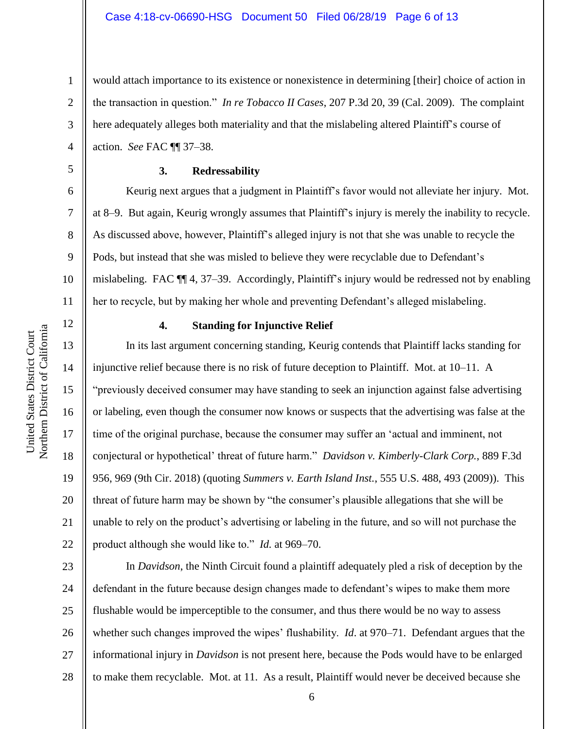would attach importance to its existence or nonexistence in determining [their] choice of action in the transaction in question." *In re Tobacco II Cases*, 207 P.3d 20, 39 (Cal. 2009). The complaint here adequately alleges both materiality and that the mislabeling altered Plaintiff's course of action. *See* FAC ¶¶ 37–38.

1

2

3

4

5

6

7

8

9

10

11

12

13

14

15

16

17

18

19

20

21

22

## **3. Redressability**

Keurig next argues that a judgment in Plaintiff's favor would not alleviate her injury. Mot. at 8–9. But again, Keurig wrongly assumes that Plaintiff's injury is merely the inability to recycle. As discussed above, however, Plaintiff's alleged injury is not that she was unable to recycle the Pods, but instead that she was misled to believe they were recyclable due to Defendant's mislabeling. FAC ¶¶ 4, 37–39. Accordingly, Plaintiff's injury would be redressed not by enabling her to recycle, but by making her whole and preventing Defendant's alleged mislabeling.

# **4. Standing for Injunctive Relief**

In its last argument concerning standing, Keurig contends that Plaintiff lacks standing for injunctive relief because there is no risk of future deception to Plaintiff. Mot. at 10–11. A "previously deceived consumer may have standing to seek an injunction against false advertising or labeling, even though the consumer now knows or suspects that the advertising was false at the time of the original purchase, because the consumer may suffer an 'actual and imminent, not conjectural or hypothetical' threat of future harm." *Davidson v. Kimberly-Clark Corp.*, 889 F.3d 956, 969 (9th Cir. 2018) (quoting *Summers v. Earth Island Inst.*, 555 U.S. 488, 493 (2009)). This threat of future harm may be shown by "the consumer's plausible allegations that she will be unable to rely on the product's advertising or labeling in the future, and so will not purchase the product although she would like to." *Id.* at 969–70.

23 24 25 26 27 28 In *Davidson*, the Ninth Circuit found a plaintiff adequately pled a risk of deception by the defendant in the future because design changes made to defendant's wipes to make them more flushable would be imperceptible to the consumer, and thus there would be no way to assess whether such changes improved the wipes' flushability. *Id*. at 970–71. Defendant argues that the informational injury in *Davidson* is not present here, because the Pods would have to be enlarged to make them recyclable. Mot. at 11. As a result, Plaintiff would never be deceived because she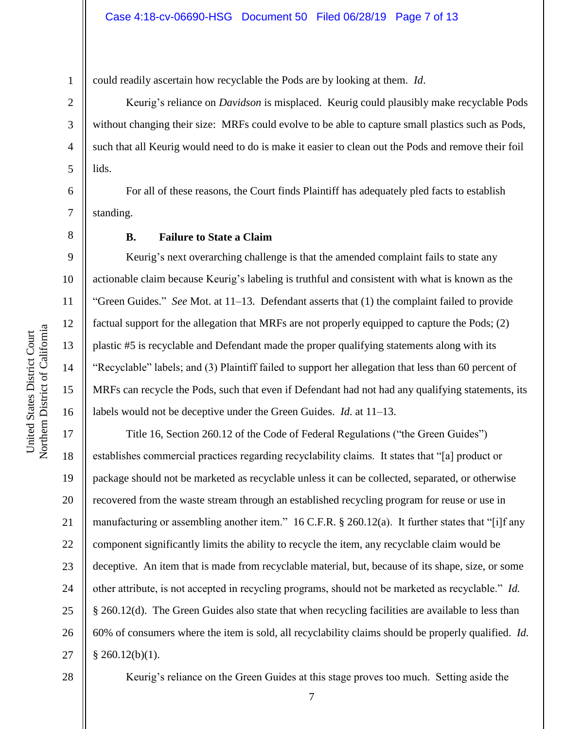could readily ascertain how recyclable the Pods are by looking at them. *Id*.

Keurig's reliance on *Davidson* is misplaced. Keurig could plausibly make recyclable Pods without changing their size: MRFs could evolve to be able to capture small plastics such as Pods, such that all Keurig would need to do is make it easier to clean out the Pods and remove their foil lids.

For all of these reasons, the Court finds Plaintiff has adequately pled facts to establish standing.

1

2

3

4

5

6

7

8

9

10

11

12

13

14

15

16

# **B. Failure to State a Claim**

Keurig's next overarching challenge is that the amended complaint fails to state any actionable claim because Keurig's labeling is truthful and consistent with what is known as the "Green Guides." *See* Mot. at 11–13. Defendant asserts that (1) the complaint failed to provide factual support for the allegation that MRFs are not properly equipped to capture the Pods; (2) plastic #5 is recyclable and Defendant made the proper qualifying statements along with its "Recyclable" labels; and (3) Plaintiff failed to support her allegation that less than 60 percent of MRFs can recycle the Pods, such that even if Defendant had not had any qualifying statements, its labels would not be deceptive under the Green Guides. *Id*. at 11–13.

17 18 19 20 21 22 23 24 25 26 27 Title 16, Section 260.12 of the Code of Federal Regulations ("the Green Guides") establishes commercial practices regarding recyclability claims. It states that "[a] product or package should not be marketed as recyclable unless it can be collected, separated, or otherwise recovered from the waste stream through an established recycling program for reuse or use in manufacturing or assembling another item." 16 C.F.R. § 260.12(a). It further states that "[i]f any component significantly limits the ability to recycle the item, any recyclable claim would be deceptive. An item that is made from recyclable material, but, because of its shape, size, or some other attribute, is not accepted in recycling programs, should not be marketed as recyclable." *Id.* § 260.12(d). The Green Guides also state that when recycling facilities are available to less than 60% of consumers where the item is sold, all recyclability claims should be properly qualified. *Id.*  $§$  260.12(b)(1).

28

Keurig's reliance on the Green Guides at this stage proves too much. Setting aside the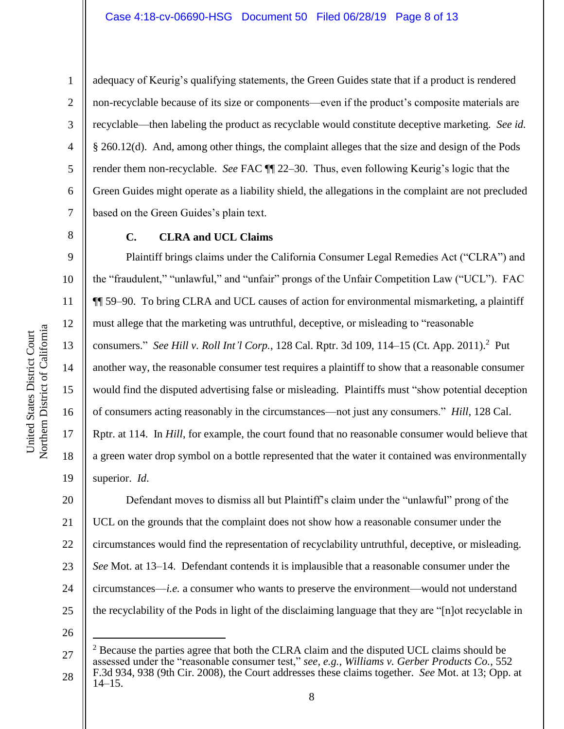13

14

15

16

17

18

19

1

adequacy of Keurig's qualifying statements, the Green Guides state that if a product is rendered non-recyclable because of its size or components—even if the product's composite materials are recyclable—then labeling the product as recyclable would constitute deceptive marketing. *See id.* § 260.12(d). And, among other things, the complaint alleges that the size and design of the Pods render them non-recyclable. *See* FAC ¶¶ 22–30. Thus, even following Keurig's logic that the Green Guides might operate as a liability shield, the allegations in the complaint are not precluded based on the Green Guides's plain text.

**C. CLRA and UCL Claims**

Plaintiff brings claims under the California Consumer Legal Remedies Act ("CLRA") and the "fraudulent," "unlawful," and "unfair" prongs of the Unfair Competition Law ("UCL"). FAC ¶¶ 59–90. To bring CLRA and UCL causes of action for environmental mismarketing, a plaintiff must allege that the marketing was untruthful, deceptive, or misleading to "reasonable consumers." *See Hill v. Roll Int'l Corp.*, 128 Cal. Rptr. 3d 109, 114–15 (Ct. App. 2011).<sup>2</sup> Put another way, the reasonable consumer test requires a plaintiff to show that a reasonable consumer would find the disputed advertising false or misleading. Plaintiffs must "show potential deception of consumers acting reasonably in the circumstances—not just any consumers." *Hill*, 128 Cal. Rptr. at 114. In *Hill*, for example, the court found that no reasonable consumer would believe that a green water drop symbol on a bottle represented that the water it contained was environmentally superior. *Id*.

20 21 22 23 24 25 Defendant moves to dismiss all but Plaintiff's claim under the "unlawful" prong of the UCL on the grounds that the complaint does not show how a reasonable consumer under the circumstances would find the representation of recyclability untruthful, deceptive, or misleading. *See* Mot. at 13–14. Defendant contends it is implausible that a reasonable consumer under the circumstances—*i.e.* a consumer who wants to preserve the environment—would not understand the recyclability of the Pods in light of the disclaiming language that they are "[n]ot recyclable in

26

 $\overline{a}$ 

<sup>27</sup> 28  $2^2$  Because the parties agree that both the CLRA claim and the disputed UCL claims should be assessed under the "reasonable consumer test," *see, e.g.*, *Williams v. Gerber Products Co.*, 552 F.3d 934, 938 (9th Cir. 2008), the Court addresses these claims together. *See* Mot. at 13; Opp. at 14–15.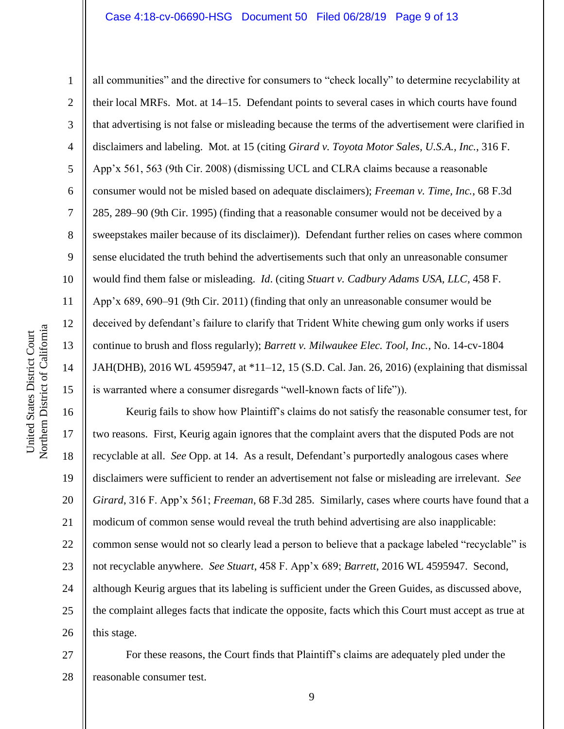#### Case 4:18-cv-06690-HSG Document 50 Filed 06/28/19 Page 9 of 13

Northern District of California Northern District of California United States District Court United States District Court

1 2 3 4 5 6 7 8 9 10 11 12 13 14 15 all communities" and the directive for consumers to "check locally" to determine recyclability at their local MRFs. Mot. at 14–15. Defendant points to several cases in which courts have found that advertising is not false or misleading because the terms of the advertisement were clarified in disclaimers and labeling. Mot. at 15 (citing *Girard v. Toyota Motor Sales, U.S.A., Inc.*, 316 F. App'x 561, 563 (9th Cir. 2008) (dismissing UCL and CLRA claims because a reasonable consumer would not be misled based on adequate disclaimers); *Freeman v. Time, Inc.*, 68 F.3d 285, 289–90 (9th Cir. 1995) (finding that a reasonable consumer would not be deceived by a sweepstakes mailer because of its disclaimer)). Defendant further relies on cases where common sense elucidated the truth behind the advertisements such that only an unreasonable consumer would find them false or misleading. *Id*. (citing *Stuart v. Cadbury Adams USA, LLC*, 458 F. App'x 689, 690–91 (9th Cir. 2011) (finding that only an unreasonable consumer would be deceived by defendant's failure to clarify that Trident White chewing gum only works if users continue to brush and floss regularly); *Barrett v. Milwaukee Elec. Tool, Inc.*, No. 14-cv-1804 JAH(DHB), 2016 WL 4595947, at \*11–12, 15 (S.D. Cal. Jan. 26, 2016) (explaining that dismissal is warranted where a consumer disregards "well-known facts of life")).

16 17 18 19 20 21 22 23 24 25 26 Keurig fails to show how Plaintiff's claims do not satisfy the reasonable consumer test, for two reasons. First, Keurig again ignores that the complaint avers that the disputed Pods are not recyclable at all. *See* Opp. at 14. As a result, Defendant's purportedly analogous cases where disclaimers were sufficient to render an advertisement not false or misleading are irrelevant. *See Girard*, 316 F. App'x 561; *Freeman*, 68 F.3d 285. Similarly, cases where courts have found that a modicum of common sense would reveal the truth behind advertising are also inapplicable: common sense would not so clearly lead a person to believe that a package labeled "recyclable" is not recyclable anywhere. *See Stuart*, 458 F. App'x 689; *Barrett*, 2016 WL 4595947. Second, although Keurig argues that its labeling is sufficient under the Green Guides, as discussed above, the complaint alleges facts that indicate the opposite, facts which this Court must accept as true at this stage.

27 28 For these reasons, the Court finds that Plaintiff's claims are adequately pled under the reasonable consumer test.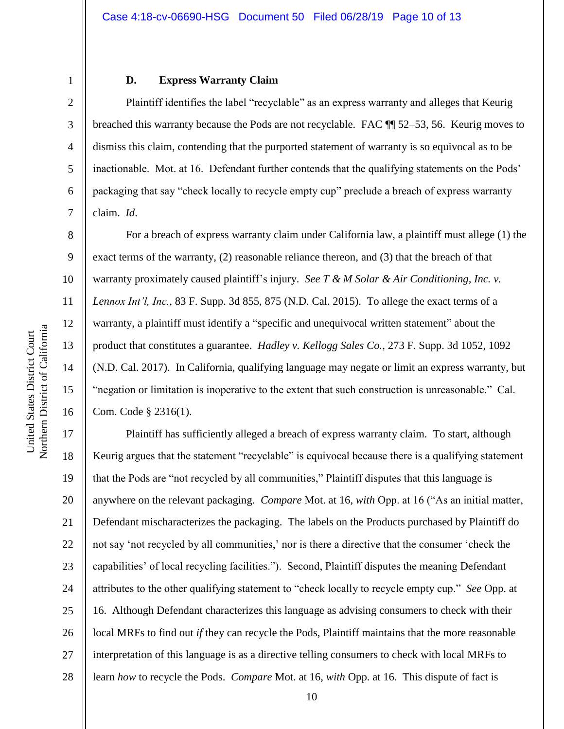## **D. Express Warranty Claim**

Plaintiff identifies the label "recyclable" as an express warranty and alleges that Keurig breached this warranty because the Pods are not recyclable. FAC ¶¶ 52–53, 56. Keurig moves to dismiss this claim, contending that the purported statement of warranty is so equivocal as to be inactionable. Mot. at 16. Defendant further contends that the qualifying statements on the Pods' packaging that say "check locally to recycle empty cup" preclude a breach of express warranty claim. *Id*.

For a breach of express warranty claim under California law, a plaintiff must allege (1) the exact terms of the warranty, (2) reasonable reliance thereon, and (3) that the breach of that warranty proximately caused plaintiff's injury. *See T & M Solar & Air Conditioning, Inc. v. Lennox Int'l, Inc.*, 83 F. Supp. 3d 855, 875 (N.D. Cal. 2015). To allege the exact terms of a warranty, a plaintiff must identify a "specific and unequivocal written statement" about the product that constitutes a guarantee. *Hadley v. Kellogg Sales Co.*, 273 F. Supp. 3d 1052, 1092 (N.D. Cal. 2017). In California, qualifying language may negate or limit an express warranty, but "negation or limitation is inoperative to the extent that such construction is unreasonable." Cal. Com. Code § 2316(1).

17 18 19 20 21 22 23 24 25 26 27 28 Plaintiff has sufficiently alleged a breach of express warranty claim. To start, although Keurig argues that the statement "recyclable" is equivocal because there is a qualifying statement that the Pods are "not recycled by all communities," Plaintiff disputes that this language is anywhere on the relevant packaging. *Compare* Mot. at 16, *with* Opp. at 16 ("As an initial matter, Defendant mischaracterizes the packaging. The labels on the Products purchased by Plaintiff do not say 'not recycled by all communities,' nor is there a directive that the consumer 'check the capabilities' of local recycling facilities."). Second, Plaintiff disputes the meaning Defendant attributes to the other qualifying statement to "check locally to recycle empty cup." *See* Opp. at 16. Although Defendant characterizes this language as advising consumers to check with their local MRFs to find out *if* they can recycle the Pods, Plaintiff maintains that the more reasonable interpretation of this language is as a directive telling consumers to check with local MRFs to learn *how* to recycle the Pods. *Compare* Mot. at 16, *with* Opp. at 16. This dispute of fact is

1

2

3

4

5

6

7

8

9

10

11

12

13

14

15

16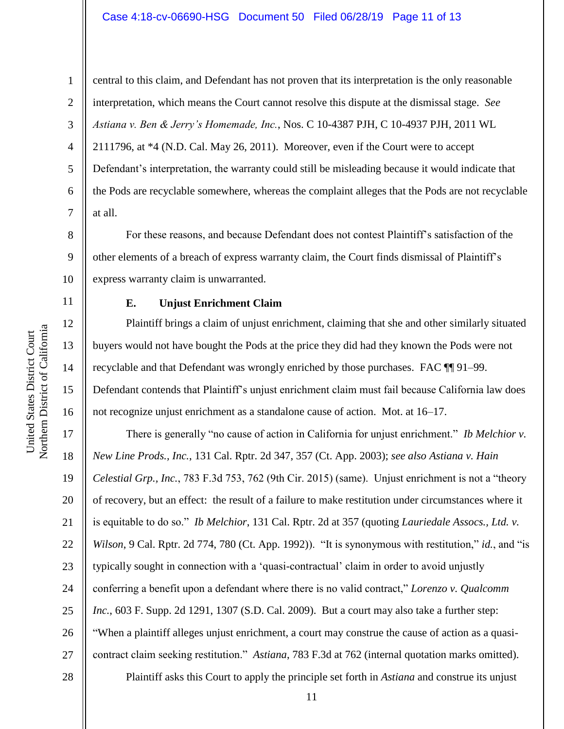## Case 4:18-cv-06690-HSG Document 50 Filed 06/28/19 Page 11 of 13

11

12

13

14

15

16

1 2 3 4 5 6 7 central to this claim, and Defendant has not proven that its interpretation is the only reasonable interpretation, which means the Court cannot resolve this dispute at the dismissal stage. *See Astiana v. Ben & Jerry's Homemade, Inc.*, Nos. C 10-4387 PJH, C 10-4937 PJH, 2011 WL 2111796, at \*4 (N.D. Cal. May 26, 2011). Moreover, even if the Court were to accept Defendant's interpretation, the warranty could still be misleading because it would indicate that the Pods are recyclable somewhere, whereas the complaint alleges that the Pods are not recyclable at all.

8 9 10 For these reasons, and because Defendant does not contest Plaintiff's satisfaction of the other elements of a breach of express warranty claim, the Court finds dismissal of Plaintiff's express warranty claim is unwarranted.

# **E. Unjust Enrichment Claim**

Plaintiff brings a claim of unjust enrichment, claiming that she and other similarly situated buyers would not have bought the Pods at the price they did had they known the Pods were not recyclable and that Defendant was wrongly enriched by those purchases. FAC ¶¶ 91–99. Defendant contends that Plaintiff's unjust enrichment claim must fail because California law does not recognize unjust enrichment as a standalone cause of action. Mot. at 16–17.

17 18 19 20 21 22 23 24 25 26 27 28 There is generally "no cause of action in California for unjust enrichment." *Ib Melchior v. New Line Prods., Inc.*, 131 Cal. Rptr. 2d 347, 357 (Ct. App. 2003); *see also Astiana v. Hain Celestial Grp., Inc.*, 783 F.3d 753, 762 (9th Cir. 2015) (same). Unjust enrichment is not a "theory of recovery, but an effect: the result of a failure to make restitution under circumstances where it is equitable to do so." *Ib Melchior*, 131 Cal. Rptr. 2d at 357 (quoting *Lauriedale Assocs., Ltd. v. Wilson*, 9 Cal. Rptr. 2d 774, 780 (Ct. App. 1992)). "It is synonymous with restitution," *id.*, and "is typically sought in connection with a 'quasi-contractual' claim in order to avoid unjustly conferring a benefit upon a defendant where there is no valid contract," *Lorenzo v. Qualcomm Inc.*, 603 F. Supp. 2d 1291, 1307 (S.D. Cal. 2009). But a court may also take a further step: "When a plaintiff alleges unjust enrichment, a court may construe the cause of action as a quasicontract claim seeking restitution." *Astiana*, 783 F.3d at 762 (internal quotation marks omitted). Plaintiff asks this Court to apply the principle set forth in *Astiana* and construe its unjust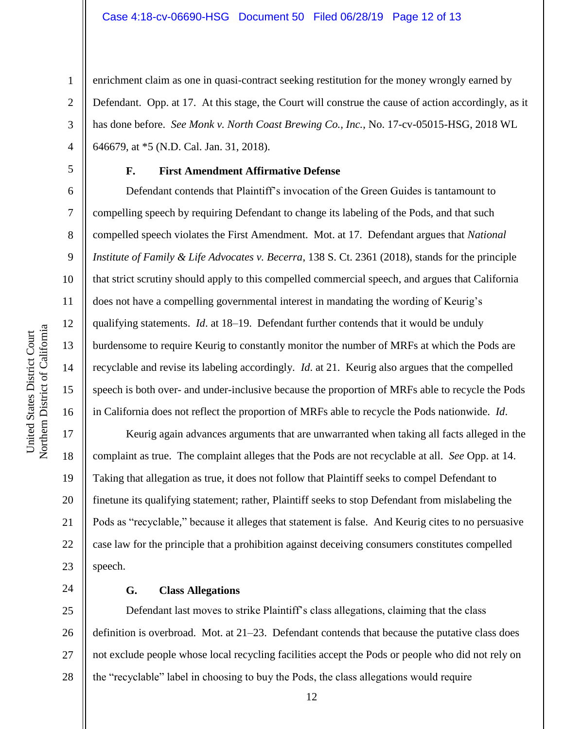enrichment claim as one in quasi-contract seeking restitution for the money wrongly earned by Defendant. Opp. at 17. At this stage, the Court will construe the cause of action accordingly, as it has done before. *See Monk v. North Coast Brewing Co., Inc.*, No. 17-cv-05015-HSG, 2018 WL 646679, at \*5 (N.D. Cal. Jan. 31, 2018).

1

2

3

4

5

6

7

8

9

10

11

12

13

14

15

16

17

18

19

20

21

22

23

24

## **F. First Amendment Affirmative Defense**

Defendant contends that Plaintiff's invocation of the Green Guides is tantamount to compelling speech by requiring Defendant to change its labeling of the Pods, and that such compelled speech violates the First Amendment. Mot. at 17. Defendant argues that *National Institute of Family & Life Advocates v. Becerra*, 138 S. Ct. 2361 (2018), stands for the principle that strict scrutiny should apply to this compelled commercial speech, and argues that California does not have a compelling governmental interest in mandating the wording of Keurig's qualifying statements. *Id*. at 18–19. Defendant further contends that it would be unduly burdensome to require Keurig to constantly monitor the number of MRFs at which the Pods are recyclable and revise its labeling accordingly. *Id*. at 21. Keurig also argues that the compelled speech is both over- and under-inclusive because the proportion of MRFs able to recycle the Pods in California does not reflect the proportion of MRFs able to recycle the Pods nationwide. *Id*.

Keurig again advances arguments that are unwarranted when taking all facts alleged in the complaint as true. The complaint alleges that the Pods are not recyclable at all. *See* Opp. at 14. Taking that allegation as true, it does not follow that Plaintiff seeks to compel Defendant to finetune its qualifying statement; rather, Plaintiff seeks to stop Defendant from mislabeling the Pods as "recyclable," because it alleges that statement is false. And Keurig cites to no persuasive case law for the principle that a prohibition against deceiving consumers constitutes compelled speech.

**G. Class Allegations**

25 26 27 28 Defendant last moves to strike Plaintiff's class allegations, claiming that the class definition is overbroad. Mot. at 21–23. Defendant contends that because the putative class does not exclude people whose local recycling facilities accept the Pods or people who did not rely on the "recyclable" label in choosing to buy the Pods, the class allegations would require